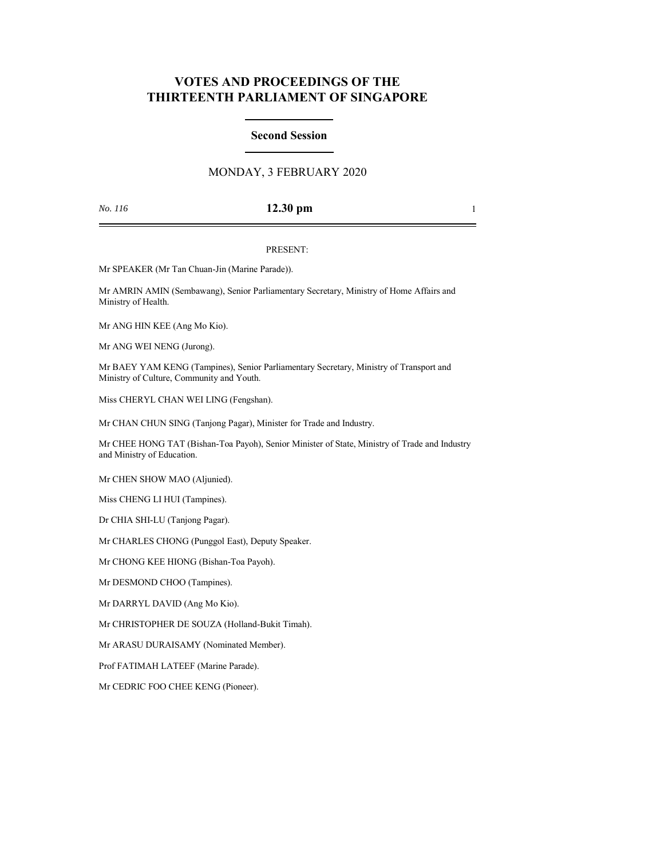# **VOTES AND PROCEEDINGS OF THE THIRTEENTH PARLIAMENT OF SINGAPORE**

## **Second Session**

# MONDAY, 3 FEBRUARY 2020

## *No. 116* **12.30 pm** 1

## PRESENT:

Mr SPEAKER (Mr Tan Chuan-Jin (Marine Parade)).

Mr AMRIN AMIN (Sembawang), Senior Parliamentary Secretary, Ministry of Home Affairs and Ministry of Health.

Mr ANG HIN KEE (Ang Mo Kio).

Mr ANG WEI NENG (Jurong).

Mr BAEY YAM KENG (Tampines), Senior Parliamentary Secretary, Ministry of Transport and Ministry of Culture, Community and Youth.

Miss CHERYL CHAN WEI LING (Fengshan).

Mr CHAN CHUN SING (Tanjong Pagar), Minister for Trade and Industry.

Mr CHEE HONG TAT (Bishan-Toa Payoh), Senior Minister of State, Ministry of Trade and Industry and Ministry of Education.

Mr CHEN SHOW MAO (Aljunied).

Miss CHENG LI HUI (Tampines).

Dr CHIA SHI-LU (Tanjong Pagar).

Mr CHARLES CHONG (Punggol East), Deputy Speaker.

Mr CHONG KEE HIONG (Bishan-Toa Payoh).

Mr DESMOND CHOO (Tampines).

Mr DARRYL DAVID (Ang Mo Kio).

Mr CHRISTOPHER DE SOUZA (Holland-Bukit Timah).

Mr ARASU DURAISAMY (Nominated Member).

Prof FATIMAH LATEEF (Marine Parade).

Mr CEDRIC FOO CHEE KENG (Pioneer).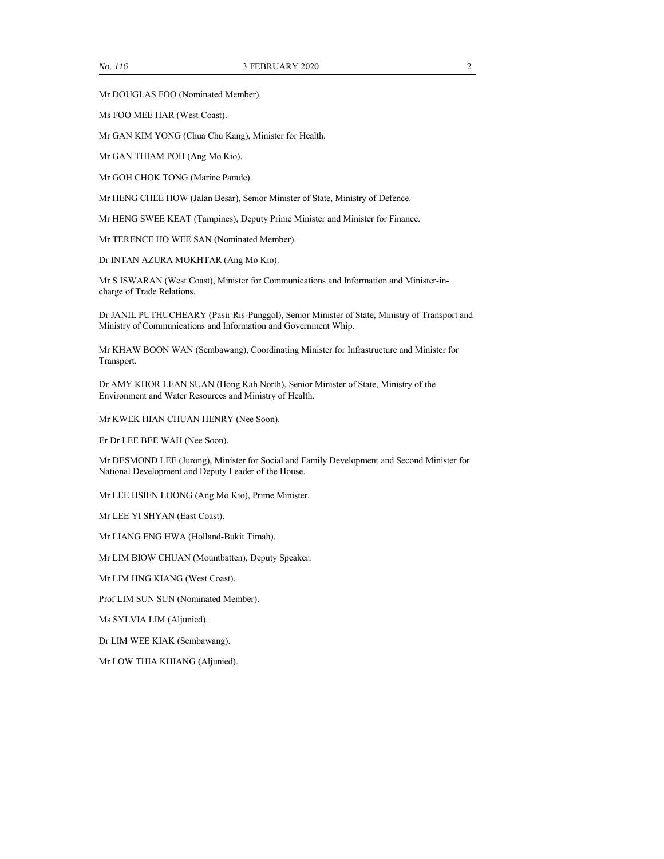Mr DOUGLAS FOO (Nominated Member).

Ms FOO MEE HAR (West Coast).

Mr GAN KIM YONG (Chua Chu Kang), Minister for Health.

Mr GAN THIAM POH (Ang Mo Kio).

Mr GOH CHOK TONG (Marine Parade).

Mr HENG CHEE HOW (Jalan Besar), Senior Minister of State, Ministry of Defence.

Mr HENG SWEE KEAT (Tampines), Deputy Prime Minister and Minister for Finance.

Mr TERENCE HO WEE SAN (Nominated Member).

Dr INTAN AZURA MOKHTAR (Ang Mo Kio).

Mr S ISWARAN (West Coast), Minister for Communications and Information and Minister-incharge of Trade Relations.

Dr JANIL PUTHUCHEARY (Pasir Ris-Punggol), Senior Minister of State, Ministry of Transport and Ministry of Communications and Information and Government Whip.

Mr KHAW BOON WAN (Sembawang), Coordinating Minister for Infrastructure and Minister for Transport.

Dr AMY KHOR LEAN SUAN (Hong Kah North), Senior Minister of State, Ministry of the Environment and Water Resources and Ministry of Health.

Mr KWEK HIAN CHUAN HENRY (Nee Soon).

Er Dr LEE BEE WAH (Nee Soon).

Mr DESMOND LEE (Jurong), Minister for Social and Family Development and Second Minister for National Development and Deputy Leader of the House.

Mr LEE HSIEN LOONG (Ang Mo Kio), Prime Minister.

Mr LEE YI SHYAN (East Coast).

Mr LIANG ENG HWA (Holland-Bukit Timah).

Mr LIM BIOW CHUAN (Mountbatten), Deputy Speaker.

Mr LIM HNG KIANG (West Coast).

Prof LIM SUN SUN (Nominated Member).

Ms SYLVIA LIM (Aljunied).

Dr LIM WEE KIAK (Sembawang).

Mr LOW THIA KHIANG (Aljunied).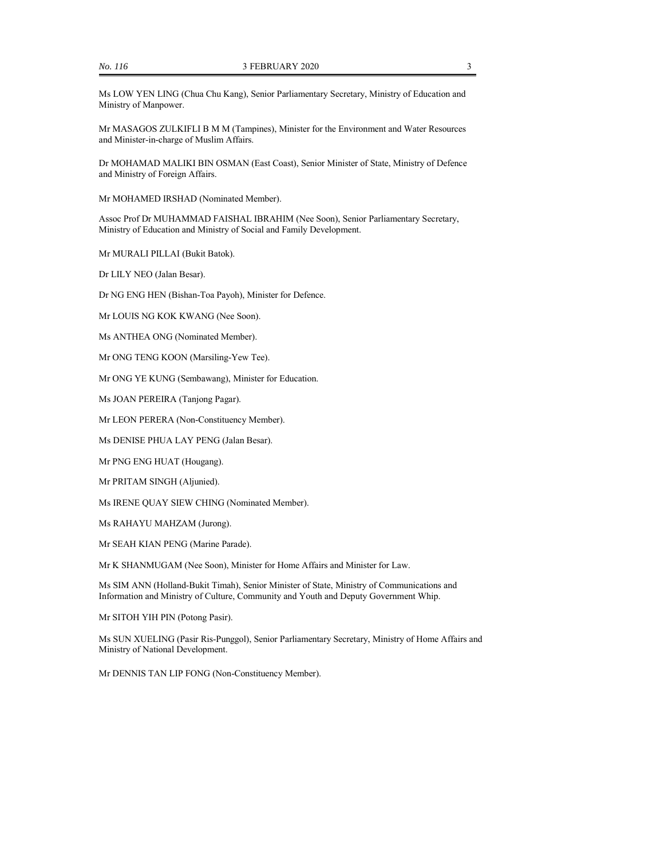Ms LOW YEN LING (Chua Chu Kang), Senior Parliamentary Secretary, Ministry of Education and Ministry of Manpower.

Mr MASAGOS ZULKIFLI B M M (Tampines), Minister for the Environment and Water Resources and Minister-in-charge of Muslim Affairs.

Dr MOHAMAD MALIKI BIN OSMAN (East Coast), Senior Minister of State, Ministry of Defence and Ministry of Foreign Affairs.

Mr MOHAMED IRSHAD (Nominated Member).

Assoc Prof Dr MUHAMMAD FAISHAL IBRAHIM (Nee Soon), Senior Parliamentary Secretary, Ministry of Education and Ministry of Social and Family Development.

Mr MURALI PILLAI (Bukit Batok).

Dr LILY NEO (Jalan Besar).

Dr NG ENG HEN (Bishan-Toa Payoh), Minister for Defence.

Mr LOUIS NG KOK KWANG (Nee Soon).

Ms ANTHEA ONG (Nominated Member).

Mr ONG TENG KOON (Marsiling-Yew Tee).

Mr ONG YE KUNG (Sembawang), Minister for Education.

Ms JOAN PEREIRA (Tanjong Pagar).

Mr LEON PERERA (Non-Constituency Member).

Ms DENISE PHUA LAY PENG (Jalan Besar).

Mr PNG ENG HUAT (Hougang).

Mr PRITAM SINGH (Aljunied).

Ms IRENE QUAY SIEW CHING (Nominated Member).

Ms RAHAYU MAHZAM (Jurong).

Mr SEAH KIAN PENG (Marine Parade).

Mr K SHANMUGAM (Nee Soon), Minister for Home Affairs and Minister for Law.

Ms SIM ANN (Holland-Bukit Timah), Senior Minister of State, Ministry of Communications and Information and Ministry of Culture, Community and Youth and Deputy Government Whip.

Mr SITOH YIH PIN (Potong Pasir).

Ms SUN XUELING (Pasir Ris-Punggol), Senior Parliamentary Secretary, Ministry of Home Affairs and Ministry of National Development.

Mr DENNIS TAN LIP FONG (Non-Constituency Member).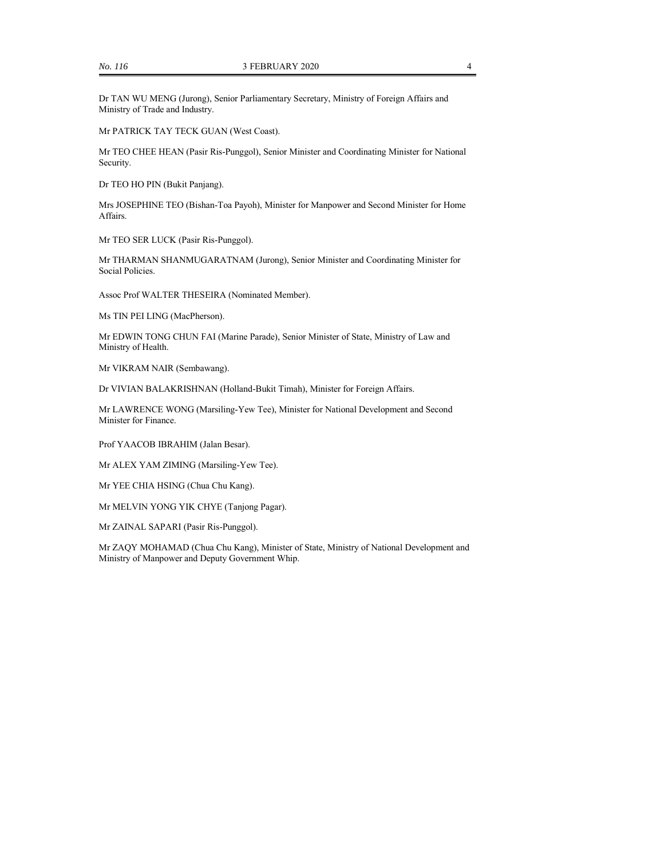Dr TAN WU MENG (Jurong), Senior Parliamentary Secretary, Ministry of Foreign Affairs and Ministry of Trade and Industry.

Mr PATRICK TAY TECK GUAN (West Coast).

Mr TEO CHEE HEAN (Pasir Ris-Punggol), Senior Minister and Coordinating Minister for National Security.

Dr TEO HO PIN (Bukit Panjang).

Mrs JOSEPHINE TEO (Bishan-Toa Payoh), Minister for Manpower and Second Minister for Home Affairs.

Mr TEO SER LUCK (Pasir Ris-Punggol).

Mr THARMAN SHANMUGARATNAM (Jurong), Senior Minister and Coordinating Minister for Social Policies.

Assoc Prof WALTER THESEIRA (Nominated Member).

Ms TIN PEI LING (MacPherson).

Mr EDWIN TONG CHUN FAI (Marine Parade), Senior Minister of State, Ministry of Law and Ministry of Health.

Mr VIKRAM NAIR (Sembawang).

Dr VIVIAN BALAKRISHNAN (Holland-Bukit Timah), Minister for Foreign Affairs.

Mr LAWRENCE WONG (Marsiling-Yew Tee), Minister for National Development and Second Minister for Finance.

Prof YAACOB IBRAHIM (Jalan Besar).

Mr ALEX YAM ZIMING (Marsiling-Yew Tee).

Mr YEE CHIA HSING (Chua Chu Kang).

Mr MELVIN YONG YIK CHYE (Tanjong Pagar).

Mr ZAINAL SAPARI (Pasir Ris-Punggol).

Mr ZAQY MOHAMAD (Chua Chu Kang), Minister of State, Ministry of National Development and Ministry of Manpower and Deputy Government Whip.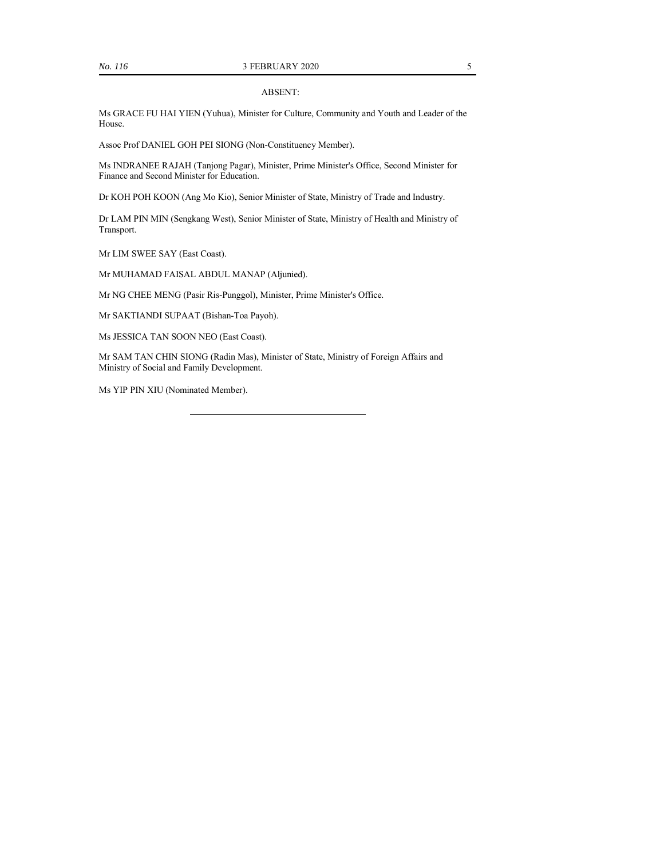ABSENT:

Ms GRACE FU HAI YIEN (Yuhua), Minister for Culture, Community and Youth and Leader of the House.

Assoc Prof DANIEL GOH PEI SIONG (Non-Constituency Member).

Ms INDRANEE RAJAH (Tanjong Pagar), Minister, Prime Minister's Office, Second Minister for Finance and Second Minister for Education.

Dr KOH POH KOON (Ang Mo Kio), Senior Minister of State, Ministry of Trade and Industry.

Dr LAM PIN MIN (Sengkang West), Senior Minister of State, Ministry of Health and Ministry of Transport.

Mr LIM SWEE SAY (East Coast).

Mr MUHAMAD FAISAL ABDUL MANAP (Aljunied).

Mr NG CHEE MENG (Pasir Ris-Punggol), Minister, Prime Minister's Office.

Mr SAKTIANDI SUPAAT (Bishan-Toa Payoh).

Ms JESSICA TAN SOON NEO (East Coast).

Mr SAM TAN CHIN SIONG (Radin Mas), Minister of State, Ministry of Foreign Affairs and Ministry of Social and Family Development.

Ms YIP PIN XIU (Nominated Member).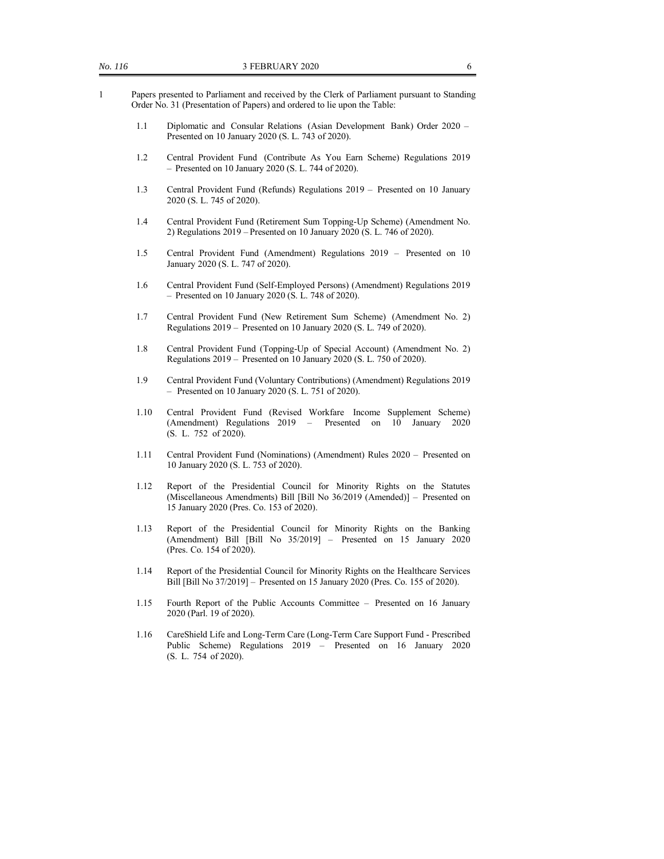- 1 Papers presented to Parliament and received by the Clerk of Parliament pursuant to Standing Order No. 31 (Presentation of Papers) and ordered to lie upon the Table:
	- 1.1 Diplomatic and Consular Relations (Asian Development Bank) Order 2020 Presented on 10 January 2020 (S. L. 743 of 2020).
	- 1.2 Central Provident Fund (Contribute As You Earn Scheme) Regulations 2019 – Presented on 10 January 2020 (S. L. 744 of 2020).
	- 1.3 Central Provident Fund (Refunds) Regulations 2019 Presented on 10 January 2020 (S. L. 745 of 2020).
	- 1.4 Central Provident Fund (Retirement Sum Topping-Up Scheme) (Amendment No. 2) Regulations 2019 – Presented on 10 January 2020 (S. L. 746 of 2020).
	- 1.5 Central Provident Fund (Amendment) Regulations 2019 Presented on 10 January 2020 (S. L. 747 of 2020).
	- 1.6 Central Provident Fund (Self-Employed Persons) (Amendment) Regulations 2019 – Presented on 10 January 2020 (S. L. 748 of 2020).
	- 1.7 Central Provident Fund (New Retirement Sum Scheme) (Amendment No. 2) Regulations 2019 – Presented on 10 January 2020 (S. L. 749 of 2020).
	- 1.8 Central Provident Fund (Topping-Up of Special Account) (Amendment No. 2) Regulations 2019 – Presented on 10 January 2020 (S. L. 750 of 2020).
	- 1.9 Central Provident Fund (Voluntary Contributions) (Amendment) Regulations 2019 – Presented on 10 January 2020 (S. L. 751 of 2020).
	- 1.10 Central Provident Fund (Revised Workfare Income Supplement Scheme) (Amendment) Regulations 2019 – Presented on 10 January 2020 (S. L. 752 of 2020).
	- 1.11 Central Provident Fund (Nominations) (Amendment) Rules 2020 Presented on 10 January 2020 (S. L. 753 of 2020).
	- 1.12 Report of the Presidential Council for Minority Rights on the Statutes (Miscellaneous Amendments) Bill [Bill No 36/2019 (Amended)] – Presented on 15 January 2020 (Pres. Co. 153 of 2020).
	- 1.13 Report of the Presidential Council for Minority Rights on the Banking (Amendment) Bill [Bill No 35/2019] – Presented on 15 January 2020 (Pres. Co. 154 of 2020).
	- 1.14 Report of the Presidential Council for Minority Rights on the Healthcare Services Bill [Bill No 37/2019] – Presented on 15 January 2020 (Pres. Co. 155 of 2020).
	- 1.15 Fourth Report of the Public Accounts Committee Presented on 16 January 2020 (Parl. 19 of 2020).
	- 1.16 CareShield Life and Long-Term Care (Long-Term Care Support Fund Prescribed Public Scheme) Regulations 2019 – Presented on 16 January 2020 (S. L. 754 of 2020).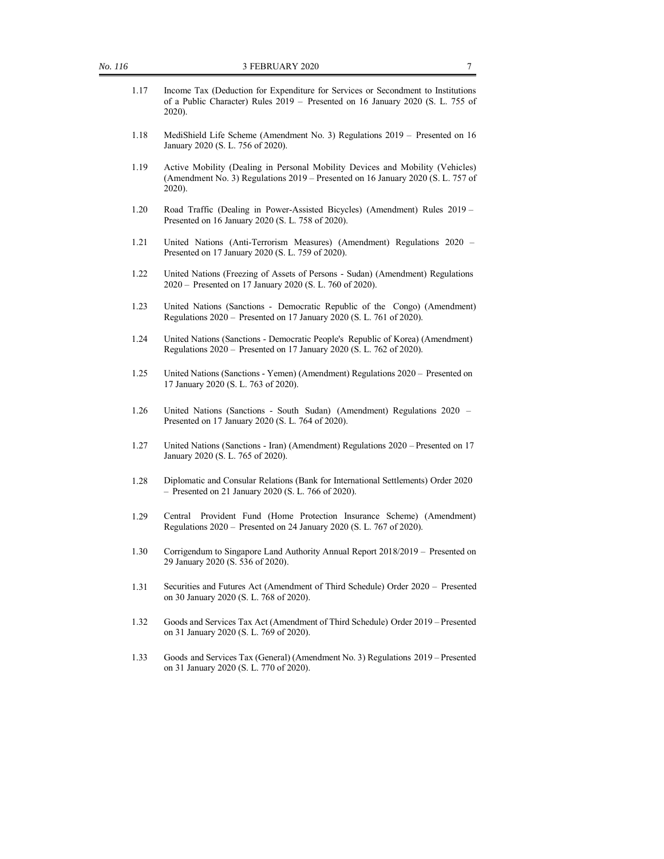| 1.17 | Income Tax (Deduction for Expenditure for Services or Secondment to Institutions<br>of a Public Character) Rules 2019 - Presented on 16 January 2020 (S. L. 755 of<br>2020). |
|------|------------------------------------------------------------------------------------------------------------------------------------------------------------------------------|
| 1.18 | MediShield Life Scheme (Amendment No. 3) Regulations $2019 -$ Presented on 16<br>January 2020 (S. L. 756 of 2020).                                                           |
| 1.19 | Active Mobility (Dealing in Personal Mobility Devices and Mobility (Vehicles)<br>(Amendment No. 3) Regulations 2019 - Presented on 16 January 2020 (S. L. 757 of<br>2020).   |
| 1.20 | Road Traffic (Dealing in Power-Assisted Bicycles) (Amendment) Rules 2019 -<br>Presented on 16 January 2020 (S. L. 758 of 2020).                                              |
| 1.21 | United Nations (Anti-Terrorism Measures) (Amendment) Regulations 2020 -<br>Presented on 17 January 2020 (S. L. 759 of 2020).                                                 |
| 1.22 | United Nations (Freezing of Assets of Persons - Sudan) (Amendment) Regulations<br>2020 – Presented on 17 January 2020 (S. L. 760 of 2020).                                   |
| 1.23 | United Nations (Sanctions - Democratic Republic of the Congo) (Amendment)<br>Regulations 2020 - Presented on 17 January 2020 (S. L. 761 of 2020).                            |
| 1.24 | United Nations (Sanctions - Democratic People's Republic of Korea) (Amendment)<br>Regulations 2020 – Presented on 17 January 2020 (S. L. 762 of 2020).                       |
| 1.25 | United Nations (Sanctions - Yemen) (Amendment) Regulations 2020 - Presented on<br>17 January 2020 (S. L. 763 of 2020).                                                       |
| 1.26 | United Nations (Sanctions - South Sudan) (Amendment) Regulations 2020 -<br>Presented on 17 January 2020 (S. L. 764 of 2020).                                                 |
| 1.27 | United Nations (Sanctions - Iran) (Amendment) Regulations 2020 - Presented on 17<br>January 2020 (S. L. 765 of 2020).                                                        |
| 1.28 | Diplomatic and Consular Relations (Bank for International Settlements) Order 2020<br>$-$ Presented on 21 January 2020 (S. L. 766 of 2020).                                   |
| 1.29 | Central Provident Fund (Home Protection Insurance Scheme) (Amendment)<br>Regulations 2020 – Presented on 24 January 2020 (S. L. 767 of 2020).                                |
| 1.30 | Corrigendum to Singapore Land Authority Annual Report 2018/2019 - Presented on<br>29 January 2020 (S. 536 of 2020).                                                          |
| 1.31 | Securities and Futures Act (Amendment of Third Schedule) Order 2020 - Presented<br>on 30 January 2020 (S. L. 768 of 2020).                                                   |
| 1.32 | Goods and Services Tax Act (Amendment of Third Schedule) Order 2019 - Presented<br>on 31 January 2020 (S. L. 769 of 2020).                                                   |
| 1.33 | Goods and Services Tax (General) (Amendment No. 3) Regulations 2019 – Presented<br>on 31 January 2020 (S. L. 770 of 2020).                                                   |
|      |                                                                                                                                                                              |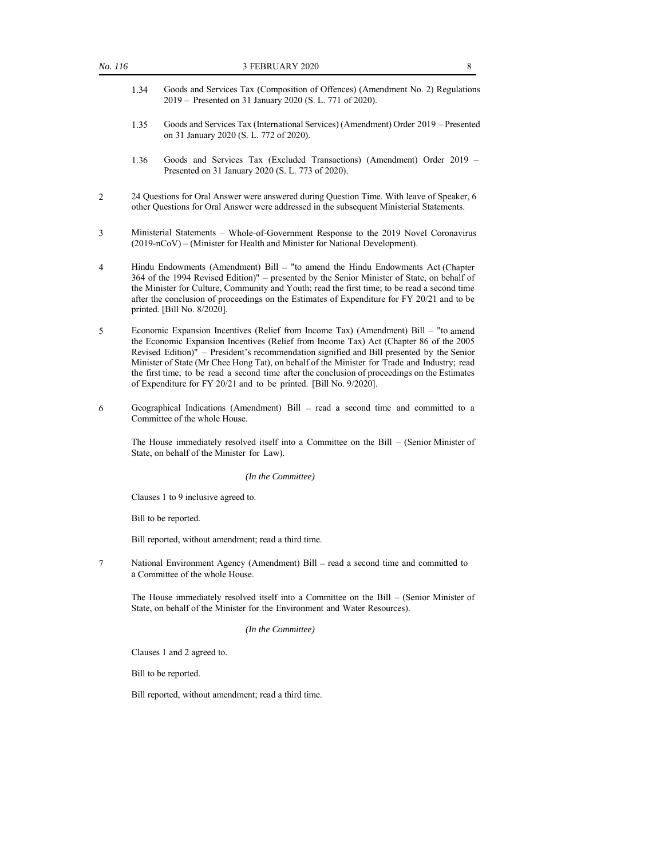- 1.34 Goods and Services Tax (Composition of Offences) (Amendment No. 2) Regulations 2019 – Presented on 31 January 2020 (S. L. 771 of 2020).
- 1.35 Goods and Services Tax (International Services) (Amendment) Order 2019 Presented on 31 January 2020 (S. L. 772 of 2020).
- 1.36 Goods and Services Tax (Excluded Transactions) (Amendment) Order 2019 Presented on 31 January 2020 (S. L. 773 of 2020).
- 2 24 Questions for Oral Answer were answered during Question Time. With leave of Speaker, 6 other Questions for Oral Answer were addressed in the subsequent Ministerial Statements.
- 3 Ministerial Statements Whole-of-Government Response to the 2019 Novel Coronavirus (2019-nCoV) – (Minister for Health and Minister for National Development).
- 4 Hindu Endowments (Amendment) Bill "to amend the Hindu Endowments Act (Chapter 364 of the 1994 Revised Edition)" – presented by the Senior Minister of State, on behalf of the Minister for Culture, Community and Youth; read the first time; to be read a second time after the conclusion of proceedings on the Estimates of Expenditure for FY 20/21 and to be printed. [Bill No. 8/2020].
- 5 Economic Expansion Incentives (Relief from Income Tax) (Amendment) Bill "to amend the Economic Expansion Incentives (Relief from Income Tax) Act (Chapter 86 of the 2005 Revised Edition)" – President's recommendation signified and Bill presented by the Senior Minister of State (Mr Chee Hong Tat), on behalf of the Minister for Trade and Industry; read the first time; to be read a second time after the conclusion of proceedings on the Estimates of Expenditure for FY 20/21 and to be printed. [Bill No. 9/2020].
- 6 Geographical Indications (Amendment) Bill read a second time and committed to a Committee of the whole House.

The House immediately resolved itself into a Committee on the Bill – (Senior Minister of State, on behalf of the Minister for Law).

### *(In the Committee)*

Clauses 1 to 9 inclusive agreed to.

Bill to be reported.

Bill reported, without amendment; read a third time.

7 National Environment Agency (Amendment) Bill – read a second time and committed to a Committee of the whole House.

The House immediately resolved itself into a Committee on the Bill – (Senior Minister of State, on behalf of the Minister for the Environment and Water Resources).

#### *(In the Committee)*

Clauses 1 and 2 agreed to.

Bill to be reported.

Bill reported, without amendment; read a third time.